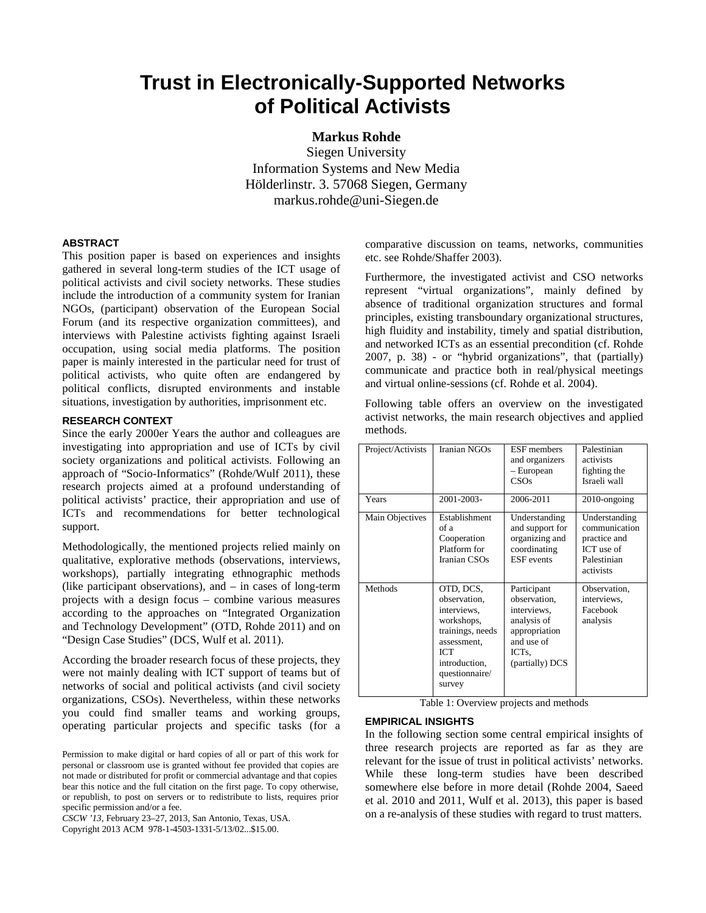# **Trust in Electronically-Supported Networks of Political Activists**

# **Markus Rohde**

Siegen University Information Systems and New Media Hölderlinstr. 3. 57068 Siegen, Germany markus.rohde@uni-Siegen.de

#### **ABSTRACT**

This position paper is based on experiences and insights gathered in several long-term studies of the ICT usage of political activists and civil society networks. These studies include the introduction of a community system for Iranian NGOs, (participant) observation of the European Social Forum (and its respective organization committees), and interviews with Palestine activists fighting against Israeli occupation, using social media platforms. The position paper is mainly interested in the particular need for trust of political activists, who quite often are endangered by political conflicts, disrupted environments and instable situations, investigation by authorities, imprisonment etc.

### **RESEARCH CONTEXT**

Since the early 2000er Years the author and colleagues are investigating into appropriation and use of ICTs by civil society organizations and political activists. Following an approach of "Socio-Informatics" (Rohde/Wulf 2011), these research projects aimed at a profound understanding of political activists' practice, their appropriation and use of ICTs and recommendations for better technological support.

Methodologically, the mentioned projects relied mainly on qualitative, explorative methods (observations, interviews, workshops), partially integrating ethnographic methods (like participant observations), and – in cases of long-term projects with a design focus – combine various measures according to the approaches on "Integrated Organization and Technology Development" (OTD, Rohde 2011) and on "Design Case Studies" (DCS, Wulf et al. 2011).

According the broader research focus of these projects, they were not mainly dealing with ICT support of teams but of networks of social and political activists (and civil society organizations, CSOs). Nevertheless, within these networks you could find smaller teams and working groups, operating particular projects and specific tasks (for a

*CSCW '13,* February 23–27, 2013, San Antonio, Texas, USA.

Copyright 2013 ACM 978-1-4503-1331-5/13/02...\$15.00.

comparative discussion on teams, networks, communities etc. see Rohde/Shaffer 2003).

Furthermore, the investigated activist and CSO networks represent "virtual organizations", mainly defined by absence of traditional organization structures and formal principles, existing transboundary organizational structures, high fluidity and instability, timely and spatial distribution, and networked ICTs as an essential precondition (cf. Rohde 2007, p. 38) - or "hybrid organizations", that (partially) communicate and practice both in real/physical meetings and virtual online-sessions (cf. Rohde et al. 2004).

Following table offers an overview on the investigated activist networks, the main research objectives and applied methods.

| Project/Activists | Iranian NGOs                                                                                                                                         | <b>ESF</b> members<br>and organizers<br>- European<br>CSOs                                                                      | Palestinian<br>activists<br>fighting the<br>Israeli wall                                 |
|-------------------|------------------------------------------------------------------------------------------------------------------------------------------------------|---------------------------------------------------------------------------------------------------------------------------------|------------------------------------------------------------------------------------------|
| Years             | 2001-2003-                                                                                                                                           | 2006-2011                                                                                                                       | $2010$ -ongoing                                                                          |
| Main Objectives   | Establishment<br>of a<br>Cooperation<br>Platform for<br>Iranian CSOs                                                                                 | Understanding<br>and support for<br>organizing and<br>coordinating<br><b>ESF</b> events                                         | Understanding<br>communication<br>practice and<br>ICT use of<br>Palestinian<br>activists |
| Methods           | OTD, DCS,<br>observation,<br>interviews.<br>workshops,<br>trainings, needs<br>assessment,<br><b>ICT</b><br>introduction,<br>questionnaire/<br>survey | Participant<br>observation,<br>interviews,<br>analysis of<br>appropriation<br>and use of<br>ICT <sub>s</sub><br>(partially) DCS | Observation,<br>interviews.<br>Facebook<br>analysis                                      |

Table 1: Overview projects and methods

#### **EMPIRICAL INSIGHTS**

In the following section some central empirical insights of three research projects are reported as far as they are relevant for the issue of trust in political activists' networks. While these long-term studies have been described somewhere else before in more detail (Rohde 2004, Saeed et al. 2010 and 2011, Wulf et al. 2013), this paper is based on a re-analysis of these studies with regard to trust matters.

Permission to make digital or hard copies of all or part of this work for personal or classroom use is granted without fee provided that copies are not made or distributed for profit or commercial advantage and that copies bear this notice and the full citation on the first page. To copy otherwise, or republish, to post on servers or to redistribute to lists, requires prior specific permission and/or a fee.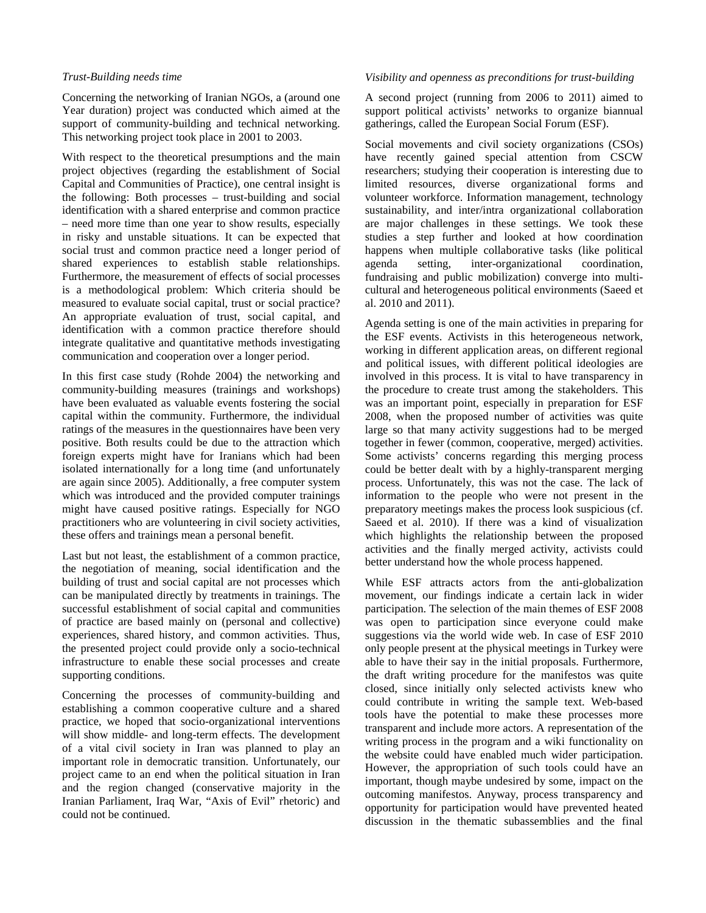### *Trust-Building needs time*

Concerning the networking of Iranian NGOs, a (around one Year duration) project was conducted which aimed at the support of community-building and technical networking. This networking project took place in 2001 to 2003.

With respect to the theoretical presumptions and the main project objectives (regarding the establishment of Social Capital and Communities of Practice), one central insight is the following: Both processes – trust-building and social identification with a shared enterprise and common practice – need more time than one year to show results, especially in risky and unstable situations. It can be expected that social trust and common practice need a longer period of shared experiences to establish stable relationships. Furthermore, the measurement of effects of social processes is a methodological problem: Which criteria should be measured to evaluate social capital, trust or social practice? An appropriate evaluation of trust, social capital, and identification with a common practice therefore should integrate qualitative and quantitative methods investigating communication and cooperation over a longer period.

In this first case study (Rohde 2004) the networking and community-building measures (trainings and workshops) have been evaluated as valuable events fostering the social capital within the community. Furthermore, the individual ratings of the measures in the questionnaires have been very positive. Both results could be due to the attraction which foreign experts might have for Iranians which had been isolated internationally for a long time (and unfortunately are again since 2005). Additionally, a free computer system which was introduced and the provided computer trainings might have caused positive ratings. Especially for NGO practitioners who are volunteering in civil society activities, these offers and trainings mean a personal benefit.

Last but not least, the establishment of a common practice, the negotiation of meaning, social identification and the building of trust and social capital are not processes which can be manipulated directly by treatments in trainings. The successful establishment of social capital and communities of practice are based mainly on (personal and collective) experiences, shared history, and common activities. Thus, the presented project could provide only a socio-technical infrastructure to enable these social processes and create supporting conditions.

Concerning the processes of community-building and establishing a common cooperative culture and a shared practice, we hoped that socio-organizational interventions will show middle- and long-term effects. The development of a vital civil society in Iran was planned to play an important role in democratic transition. Unfortunately, our project came to an end when the political situation in Iran and the region changed (conservative majority in the Iranian Parliament, Iraq War, "Axis of Evil" rhetoric) and could not be continued.

#### *Visibility and openness as preconditions for trust-building*

A second project (running from 2006 to 2011) aimed to support political activists' networks to organize biannual gatherings, called the European Social Forum (ESF).

Social movements and civil society organizations (CSOs) have recently gained special attention from CSCW researchers; studying their cooperation is interesting due to limited resources, diverse organizational forms and volunteer workforce. Information management, technology sustainability, and inter/intra organizational collaboration are major challenges in these settings. We took these studies a step further and looked at how coordination happens when multiple collaborative tasks (like political agenda setting, inter-organizational coordination, fundraising and public mobilization) converge into multicultural and heterogeneous political environments (Saeed et al. 2010 and 2011).

Agenda setting is one of the main activities in preparing for the ESF events. Activists in this heterogeneous network, working in different application areas, on different regional and political issues, with different political ideologies are involved in this process. It is vital to have transparency in the procedure to create trust among the stakeholders. This was an important point, especially in preparation for ESF 2008, when the proposed number of activities was quite large so that many activity suggestions had to be merged together in fewer (common, cooperative, merged) activities. Some activists' concerns regarding this merging process could be better dealt with by a highly-transparent merging process. Unfortunately, this was not the case. The lack of information to the people who were not present in the preparatory meetings makes the process look suspicious (cf. Saeed et al. 2010). If there was a kind of visualization which highlights the relationship between the proposed activities and the finally merged activity, activists could better understand how the whole process happened.

While ESF attracts actors from the anti-globalization movement, our findings indicate a certain lack in wider participation. The selection of the main themes of ESF 2008 was open to participation since everyone could make suggestions via the world wide web. In case of ESF 2010 only people present at the physical meetings in Turkey were able to have their say in the initial proposals. Furthermore, the draft writing procedure for the manifestos was quite closed, since initially only selected activists knew who could contribute in writing the sample text. Web-based tools have the potential to make these processes more transparent and include more actors. A representation of the writing process in the program and a wiki functionality on the website could have enabled much wider participation. However, the appropriation of such tools could have an important, though maybe undesired by some, impact on the outcoming manifestos. Anyway, process transparency and opportunity for participation would have prevented heated discussion in the thematic subassemblies and the final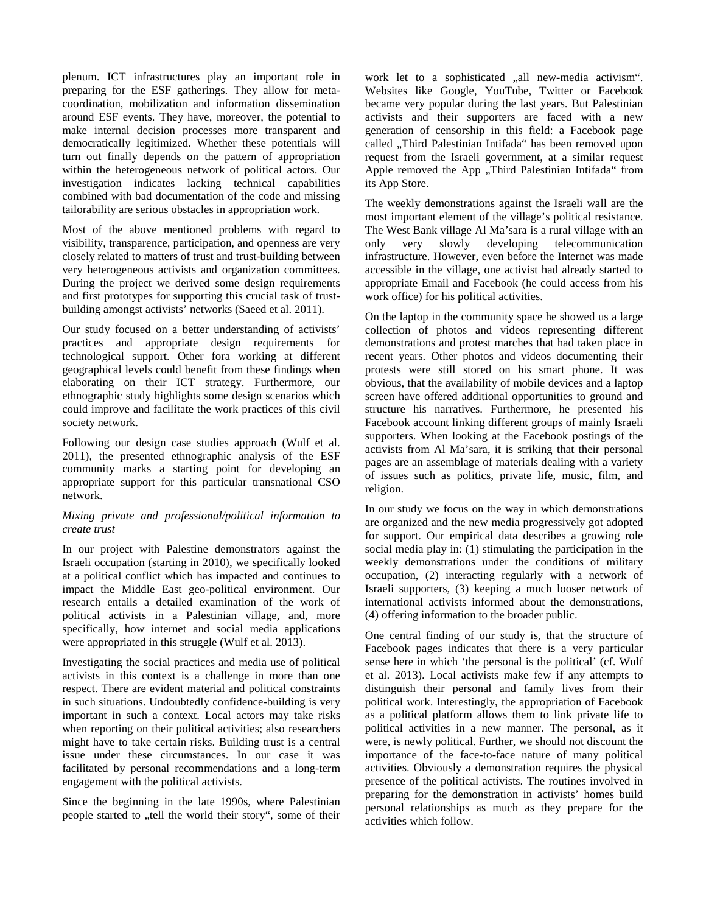plenum. ICT infrastructures play an important role in preparing for the ESF gatherings. They allow for metacoordination, mobilization and information dissemination around ESF events. They have, moreover, the potential to make internal decision processes more transparent and democratically legitimized. Whether these potentials will turn out finally depends on the pattern of appropriation within the heterogeneous network of political actors. Our investigation indicates lacking technical capabilities combined with bad documentation of the code and missing tailorability are serious obstacles in appropriation work.

Most of the above mentioned problems with regard to visibility, transparence, participation, and openness are very closely related to matters of trust and trust-building between very heterogeneous activists and organization committees. During the project we derived some design requirements and first prototypes for supporting this crucial task of trustbuilding amongst activists' networks (Saeed et al. 2011).

Our study focused on a better understanding of activists' practices and appropriate design requirements for technological support. Other fora working at different geographical levels could benefit from these findings when elaborating on their ICT strategy. Furthermore, our ethnographic study highlights some design scenarios which could improve and facilitate the work practices of this civil society network.

Following our design case studies approach (Wulf et al. 2011), the presented ethnographic analysis of the ESF community marks a starting point for developing an appropriate support for this particular transnational CSO network.

## *Mixing private and professional/political information to create trust*

In our project with Palestine demonstrators against the Israeli occupation (starting in 2010), we specifically looked at a political conflict which has impacted and continues to impact the Middle East geo-political environment. Our research entails a detailed examination of the work of political activists in a Palestinian village, and, more specifically, how internet and social media applications were appropriated in this struggle (Wulf et al. 2013).

Investigating the social practices and media use of political activists in this context is a challenge in more than one respect. There are evident material and political constraints in such situations. Undoubtedly confidence-building is very important in such a context. Local actors may take risks when reporting on their political activities; also researchers might have to take certain risks. Building trust is a central issue under these circumstances. In our case it was facilitated by personal recommendations and a long-term engagement with the political activists.

Since the beginning in the late 1990s, where Palestinian people started to "tell the world their story", some of their

work let to a sophisticated "all new-media activism". Websites like Google, YouTube, Twitter or Facebook became very popular during the last years. But Palestinian activists and their supporters are faced with a new generation of censorship in this field: a Facebook page called "Third Palestinian Intifada" has been removed upon request from the Israeli government, at a similar request Apple removed the App "Third Palestinian Intifada" from its App Store.

The weekly demonstrations against the Israeli wall are the most important element of the village's political resistance. The West Bank village Al Ma'sara is a rural village with an only very slowly developing telecommunication infrastructure. However, even before the Internet was made accessible in the village, one activist had already started to appropriate Email and Facebook (he could access from his work office) for his political activities.

On the laptop in the community space he showed us a large collection of photos and videos representing different demonstrations and protest marches that had taken place in recent years. Other photos and videos documenting their protests were still stored on his smart phone. It was obvious, that the availability of mobile devices and a laptop screen have offered additional opportunities to ground and structure his narratives. Furthermore, he presented his Facebook account linking different groups of mainly Israeli supporters. When looking at the Facebook postings of the activists from Al Ma'sara, it is striking that their personal pages are an assemblage of materials dealing with a variety of issues such as politics, private life, music, film, and religion.

In our study we focus on the way in which demonstrations are organized and the new media progressively got adopted for support. Our empirical data describes a growing role social media play in: (1) stimulating the participation in the weekly demonstrations under the conditions of military occupation, (2) interacting regularly with a network of Israeli supporters, (3) keeping a much looser network of international activists informed about the demonstrations, (4) offering information to the broader public.

One central finding of our study is, that the structure of Facebook pages indicates that there is a very particular sense here in which 'the personal is the political' (cf. Wulf et al. 2013). Local activists make few if any attempts to distinguish their personal and family lives from their political work. Interestingly, the appropriation of Facebook as a political platform allows them to link private life to political activities in a new manner. The personal, as it were, is newly political. Further, we should not discount the importance of the face-to-face nature of many political activities. Obviously a demonstration requires the physical presence of the political activists. The routines involved in preparing for the demonstration in activists' homes build personal relationships as much as they prepare for the activities which follow.